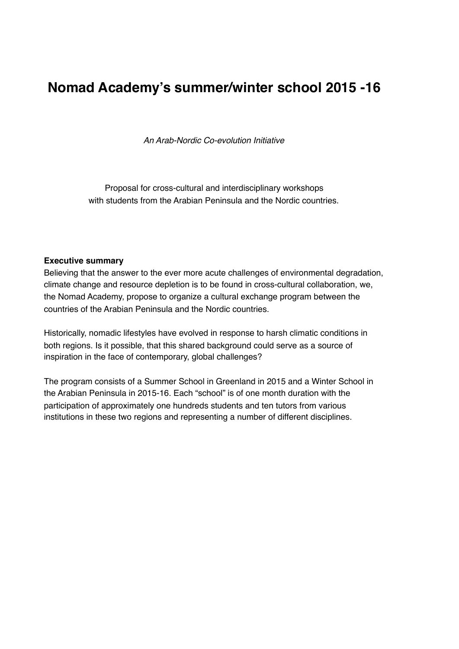# **Nomad Academy's summer/winter school 2015 -16**

*An Arab-Nordic Co-evolution Initiative*

Proposal for cross-cultural and interdisciplinary workshops with students from the Arabian Peninsula and the Nordic countries.

#### **Executive summary**

Believing that the answer to the ever more acute challenges of environmental degradation, climate change and resource depletion is to be found in cross-cultural collaboration, we, the Nomad Academy, propose to organize a cultural exchange program between the countries of the Arabian Peninsula and the Nordic countries.

Historically, nomadic lifestyles have evolved in response to harsh climatic conditions in both regions. Is it possible, that this shared background could serve as a source of inspiration in the face of contemporary, global challenges?

The program consists of a Summer School in Greenland in 2015 and a Winter School in the Arabian Peninsula in 2015-16. Each "school" is of one month duration with the participation of approximately one hundreds students and ten tutors from various institutions in these two regions and representing a number of different disciplines.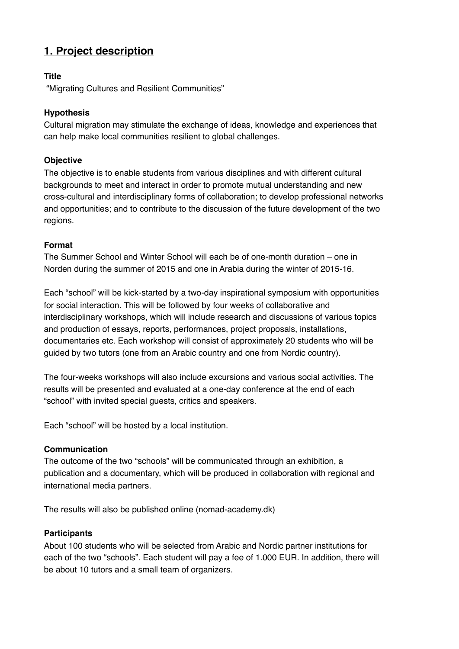## **1. Project description**

#### **Title**

"Migrating Cultures and Resilient Communities"

#### **Hypothesis**

Cultural migration may stimulate the exchange of ideas, knowledge and experiences that can help make local communities resilient to global challenges.

#### **Objective**

The objective is to enable students from various disciplines and with different cultural backgrounds to meet and interact in order to promote mutual understanding and new cross-cultural and interdisciplinary forms of collaboration; to develop professional networks and opportunities; and to contribute to the discussion of the future development of the two regions.

#### **Format**

The Summer School and Winter School will each be of one-month duration – one in Norden during the summer of 2015 and one in Arabia during the winter of 2015-16.

Each "school" will be kick-started by a two-day inspirational symposium with opportunities for social interaction. This will be followed by four weeks of collaborative and interdisciplinary workshops, which will include research and discussions of various topics and production of essays, reports, performances, project proposals, installations, documentaries etc. Each workshop will consist of approximately 20 students who will be guided by two tutors (one from an Arabic country and one from Nordic country).

The four-weeks workshops will also include excursions and various social activities. The results will be presented and evaluated at a one-day conference at the end of each "school" with invited special guests, critics and speakers.

Each "school" will be hosted by a local institution.

#### **Communication**

The outcome of the two "schools" will be communicated through an exhibition, a publication and a documentary, which will be produced in collaboration with regional and international media partners.

The results will also be published online (nomad-academy.dk)

#### **Participants**

About 100 students who will be selected from Arabic and Nordic partner institutions for each of the two "schools". Each student will pay a fee of 1.000 EUR. In addition, there will be about 10 tutors and a small team of organizers.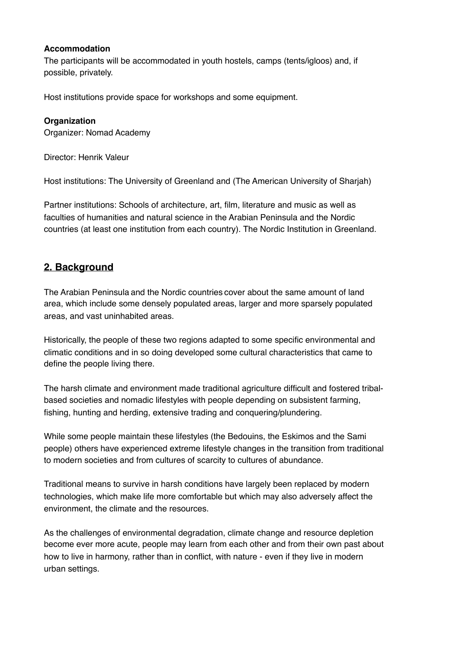#### **Accommodation**

The participants will be accommodated in youth hostels, camps (tents/igloos) and, if possible, privately.

Host institutions provide space for workshops and some equipment.

#### **Organization**

Organizer: Nomad Academy

Director: Henrik Valeur

Host institutions: The University of Greenland and (The American University of Sharjah)

Partner institutions: Schools of architecture, art, film, literature and music as well as faculties of humanities and natural science in the Arabian Peninsula and the Nordic countries (at least one institution from each country). The Nordic Institution in Greenland.

### **2. Background**

The Arabian Peninsula and the Nordic countries cover about the same amount of land area, which include some densely populated areas, larger and more sparsely populated areas, and vast uninhabited areas.

Historically, the people of these two regions adapted to some specific environmental and climatic conditions and in so doing developed some cultural characteristics that came to define the people living there.

The harsh climate and environment made traditional agriculture difficult and fostered tribalbased societies and nomadic lifestyles with people depending on subsistent farming, fishing, hunting and herding, extensive trading and conquering/plundering.

While some people maintain these lifestyles (the Bedouins, the Eskimos and the Sami people) others have experienced extreme lifestyle changes in the transition from traditional to modern societies and from cultures of scarcity to cultures of abundance.

Traditional means to survive in harsh conditions have largely been replaced by modern technologies, which make life more comfortable but which may also adversely affect the environment, the climate and the resources.

As the challenges of environmental degradation, climate change and resource depletion become ever more acute, people may learn from each other and from their own past about how to live in harmony, rather than in conflict, with nature - even if they live in modern urban settings.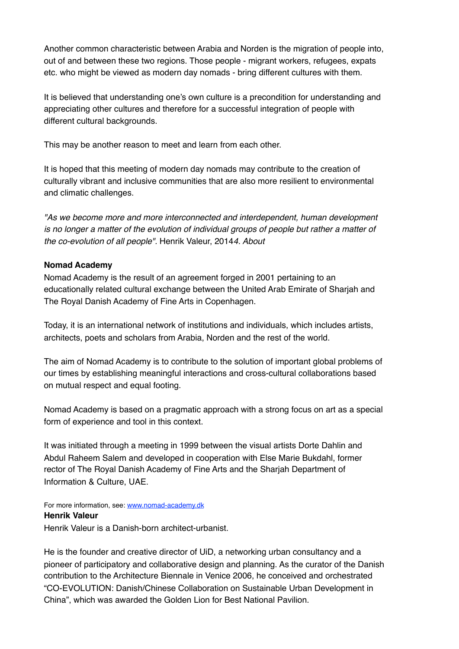Another common characteristic between Arabia and Norden is the migration of people into, out of and between these two regions. Those people - migrant workers, refugees, expats etc. who might be viewed as modern day nomads - bring different cultures with them.

It is believed that understanding one's own culture is a precondition for understanding and appreciating other cultures and therefore for a successful integration of people with different cultural backgrounds.

This may be another reason to meet and learn from each other.

It is hoped that this meeting of modern day nomads may contribute to the creation of culturally vibrant and inclusive communities that are also more resilient to environmental and climatic challenges.

*"As we become more and more interconnected and interdependent, human development*  is no longer a matter of the evolution of individual groups of people but rather a matter of *the co-evolution of all people".* Henrik Valeur, 2014*4. About*

#### **Nomad Academy**

Nomad Academy is the result of an agreement forged in 2001 pertaining to an educationally related cultural exchange between the United Arab Emirate of Sharjah and The Royal Danish Academy of Fine Arts in Copenhagen.

Today, it is an international network of institutions and individuals, which includes artists, architects, poets and scholars from Arabia, Norden and the rest of the world.

The aim of Nomad Academy is to contribute to the solution of important global problems of our times by establishing meaningful interactions and cross-cultural collaborations based on mutual respect and equal footing.

Nomad Academy is based on a pragmatic approach with a strong focus on art as a special form of experience and tool in this context.

It was initiated through a meeting in 1999 between the visual artists Dorte Dahlin and Abdul Raheem Salem and developed in cooperation with Else Marie Bukdahl, former rector of The Royal Danish Academy of Fine Arts and the Sharjah Department of Information & Culture, UAE.

For more information, see: [www.nomad-academy.dk](http://www.nomad-academy.dk) **Henrik Valeur** Henrik Valeur is a Danish-born architect-urbanist.

He is the founder and creative director of UiD, a networking urban consultancy and a pioneer of participatory and collaborative design and planning. As the curator of the Danish contribution to the Architecture Biennale in Venice 2006, he conceived and orchestrated "CO-EVOLUTION: Danish/Chinese Collaboration on Sustainable Urban Development in China", which was awarded the Golden Lion for Best National Pavilion.